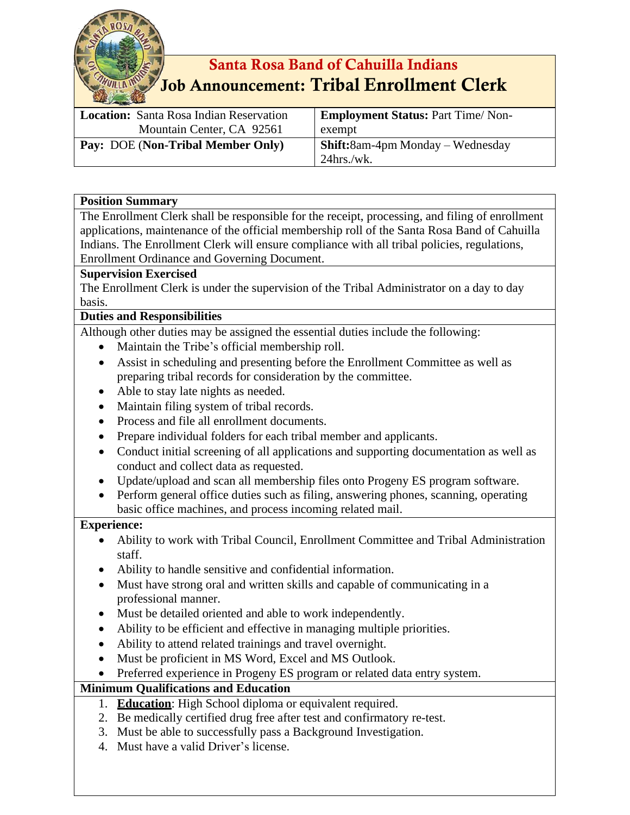

# Santa Rosa Band of Cahuilla Indians Job Announcement: Tribal Enrollment Clerk

| <b>Location:</b> Santa Rosa Indian Reservation | <b>Employment Status: Part Time/Non-</b> |
|------------------------------------------------|------------------------------------------|
| Mountain Center, CA 92561                      | exempt                                   |
| Pay: DOE (Non-Tribal Member Only)              | <b>Shift:</b> 8am-4pm Monday – Wednesday |
|                                                | $24$ hrs./wk.                            |

#### **Position Summary**

The Enrollment Clerk shall be responsible for the receipt, processing, and filing of enrollment applications, maintenance of the official membership roll of the Santa Rosa Band of Cahuilla Indians. The Enrollment Clerk will ensure compliance with all tribal policies, regulations, Enrollment Ordinance and Governing Document.

## **Supervision Exercised**

The Enrollment Clerk is under the supervision of the Tribal Administrator on a day to day basis.

## **Duties and Responsibilities**

Although other duties may be assigned the essential duties include the following:

- Maintain the Tribe's official membership roll.
- Assist in scheduling and presenting before the Enrollment Committee as well as preparing tribal records for consideration by the committee.
- Able to stay late nights as needed.
- Maintain filing system of tribal records.
- Process and file all enrollment documents.
- Prepare individual folders for each tribal member and applicants.
- Conduct initial screening of all applications and supporting documentation as well as conduct and collect data as requested.
- Update/upload and scan all membership files onto Progeny ES program software.
- Perform general office duties such as filing, answering phones, scanning, operating basic office machines, and process incoming related mail.

#### **Experience:**

- Ability to work with Tribal Council, Enrollment Committee and Tribal Administration staff.
- Ability to handle sensitive and confidential information.
- Must have strong oral and written skills and capable of communicating in a professional manner.
- Must be detailed oriented and able to work independently.
- Ability to be efficient and effective in managing multiple priorities.
- Ability to attend related trainings and travel overnight.
- Must be proficient in MS Word, Excel and MS Outlook.
- Preferred experience in Progeny ES program or related data entry system.

# **Minimum Qualifications and Education**

- 1. **Education**: High School diploma or equivalent required.
- 2. Be medically certified drug free after test and confirmatory re-test.
- 3. Must be able to successfully pass a Background Investigation.
- 4. Must have a valid Driver's license.